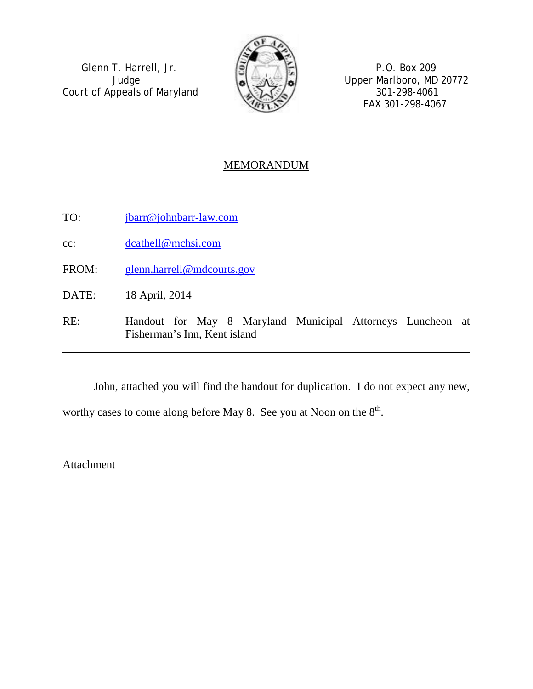Glenn T. Harrell, Jr.  $\boxed{5}$   $\boxed{7}$  P.O. Box 209 Court of Appeals of Maryland  $\sqrt{27\sqrt{2}}$  301-298-4061



Judge **Solution Upper Marlboro, MD 20772** FAX 301-298-4067

# **MEMORANDUM**

TO: [jbarr@johnbarr-law.com](mailto:jbarr@johnbarr-law.com)

cc: [dcathell@mchsi.com](mailto:dcathell@mchsi.com)

FROM: [glenn.harrell@mdcourts.gov](mailto:glenn.harrell@mdcourts.gov)

DATE: 18 April, 2014

RE: Handout for May 8 Maryland Municipal Attorneys Luncheon at Fisherman's Inn, Kent island

John, attached you will find the handout for duplication. I do not expect any new, worthy cases to come along before May 8. See you at Noon on the  $8<sup>th</sup>$ .

Attachment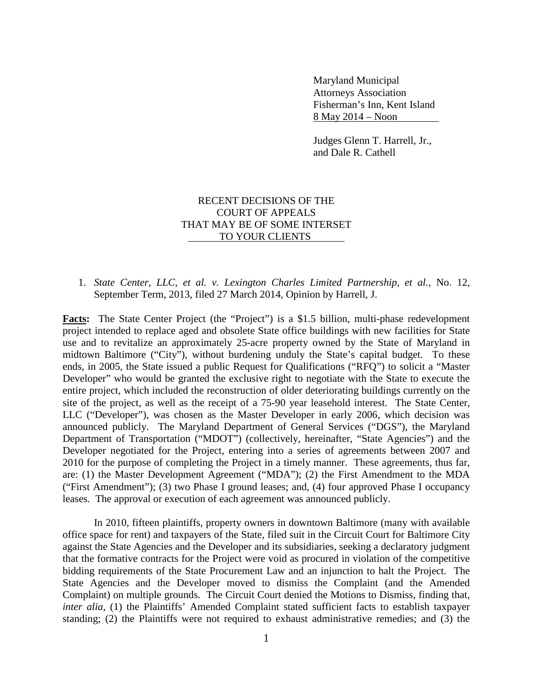Maryland Municipal Attorneys Association Fisherman's Inn, Kent Island 8 May 2014 – Noon

Judges Glenn T. Harrell, Jr., and Dale R. Cathell

## RECENT DECISIONS OF THE COURT OF APPEALS THAT MAY BE OF SOME INTERSET TO YOUR CLIENTS

#### 1. *State Center, LLC, et al. v. Lexington Charles Limited Partnership, et al.*, No. 12, September Term, 2013, filed 27 March 2014, Opinion by Harrell, J.

Facts: The State Center Project (the "Project") is a \$1.5 billion, multi-phase redevelopment project intended to replace aged and obsolete State office buildings with new facilities for State use and to revitalize an approximately 25-acre property owned by the State of Maryland in midtown Baltimore ("City"), without burdening unduly the State's capital budget. To these ends, in 2005, the State issued a public Request for Qualifications ("RFQ") to solicit a "Master Developer" who would be granted the exclusive right to negotiate with the State to execute the entire project, which included the reconstruction of older deteriorating buildings currently on the site of the project, as well as the receipt of a 75-90 year leasehold interest. The State Center, LLC ("Developer"), was chosen as the Master Developer in early 2006, which decision was announced publicly. The Maryland Department of General Services ("DGS"), the Maryland Department of Transportation ("MDOT") (collectively, hereinafter, "State Agencies") and the Developer negotiated for the Project, entering into a series of agreements between 2007 and 2010 for the purpose of completing the Project in a timely manner. These agreements, thus far, are: (1) the Master Development Agreement ("MDA"); (2) the First Amendment to the MDA ("First Amendment"); (3) two Phase I ground leases; and, (4) four approved Phase I occupancy leases. The approval or execution of each agreement was announced publicly.

In 2010, fifteen plaintiffs, property owners in downtown Baltimore (many with available office space for rent) and taxpayers of the State, filed suit in the Circuit Court for Baltimore City against the State Agencies and the Developer and its subsidiaries, seeking a declaratory judgment that the formative contracts for the Project were void as procured in violation of the competitive bidding requirements of the State Procurement Law and an injunction to halt the Project. The State Agencies and the Developer moved to dismiss the Complaint (and the Amended Complaint) on multiple grounds. The Circuit Court denied the Motions to Dismiss, finding that, *inter alia*, (1) the Plaintiffs' Amended Complaint stated sufficient facts to establish taxpayer standing; (2) the Plaintiffs were not required to exhaust administrative remedies; and (3) the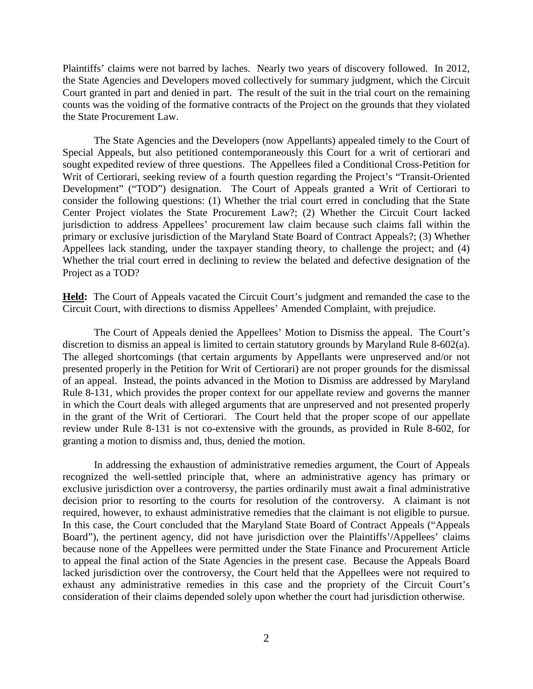Plaintiffs' claims were not barred by laches. Nearly two years of discovery followed. In 2012, the State Agencies and Developers moved collectively for summary judgment, which the Circuit Court granted in part and denied in part. The result of the suit in the trial court on the remaining counts was the voiding of the formative contracts of the Project on the grounds that they violated the State Procurement Law.

The State Agencies and the Developers (now Appellants) appealed timely to the Court of Special Appeals, but also petitioned contemporaneously this Court for a writ of certiorari and sought expedited review of three questions. The Appellees filed a Conditional Cross-Petition for Writ of Certiorari, seeking review of a fourth question regarding the Project's "Transit-Oriented Development" ("TOD") designation. The Court of Appeals granted a Writ of Certiorari to consider the following questions: (1) Whether the trial court erred in concluding that the State Center Project violates the State Procurement Law?; (2) Whether the Circuit Court lacked jurisdiction to address Appellees' procurement law claim because such claims fall within the primary or exclusive jurisdiction of the Maryland State Board of Contract Appeals?; (3) Whether Appellees lack standing, under the taxpayer standing theory, to challenge the project; and (4) Whether the trial court erred in declining to review the belated and defective designation of the Project as a TOD?

**Held:** The Court of Appeals vacated the Circuit Court's judgment and remanded the case to the Circuit Court, with directions to dismiss Appellees' Amended Complaint, with prejudice.

The Court of Appeals denied the Appellees' Motion to Dismiss the appeal.The Court's discretion to dismiss an appeal is limited to certain statutory grounds by Maryland Rule 8-602(a). The alleged shortcomings (that certain arguments by Appellants were unpreserved and/or not presented properly in the Petition for Writ of Certiorari) are not proper grounds for the dismissal of an appeal. Instead, the points advanced in the Motion to Dismiss are addressed by Maryland Rule 8-131, which provides the proper context for our appellate review and governs the manner in which the Court deals with alleged arguments that are unpreserved and not presented properly in the grant of the Writ of Certiorari. The Court held that the proper scope of our appellate review under Rule 8-131 is not co-extensive with the grounds, as provided in Rule 8-602, for granting a motion to dismiss and, thus, denied the motion.

In addressing the exhaustion of administrative remedies argument, the Court of Appeals recognized the well-settled principle that, where an administrative agency has primary or exclusive jurisdiction over a controversy, the parties ordinarily must await a final administrative decision prior to resorting to the courts for resolution of the controversy. A claimant is not required, however, to exhaust administrative remedies that the claimant is not eligible to pursue. In this case, the Court concluded that the Maryland State Board of Contract Appeals ("Appeals Board"), the pertinent agency, did not have jurisdiction over the Plaintiffs'/Appellees' claims because none of the Appellees were permitted under the State Finance and Procurement Article to appeal the final action of the State Agencies in the present case. Because the Appeals Board lacked jurisdiction over the controversy, the Court held that the Appellees were not required to exhaust any administrative remedies in this case and the propriety of the Circuit Court's consideration of their claims depended solely upon whether the court had jurisdiction otherwise.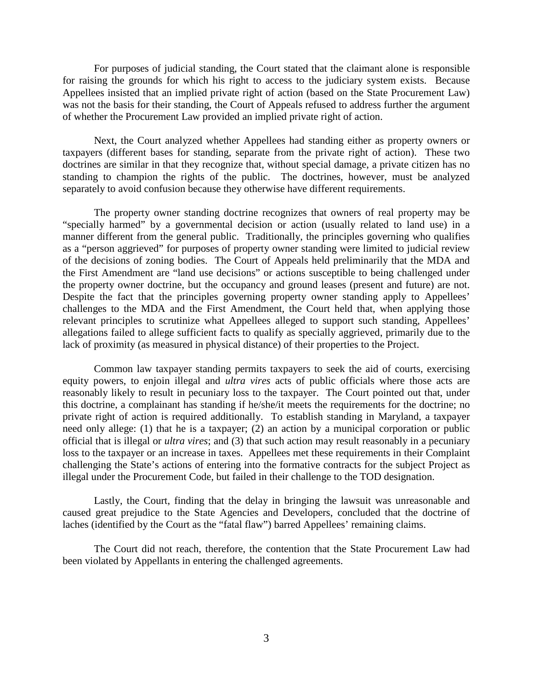For purposes of judicial standing, the Court stated that the claimant alone is responsible for raising the grounds for which his right to access to the judiciary system exists. Because Appellees insisted that an implied private right of action (based on the State Procurement Law) was not the basis for their standing, the Court of Appeals refused to address further the argument of whether the Procurement Law provided an implied private right of action.

Next, the Court analyzed whether Appellees had standing either as property owners or taxpayers (different bases for standing, separate from the private right of action). These two doctrines are similar in that they recognize that, without special damage, a private citizen has no standing to champion the rights of the public. The doctrines, however, must be analyzed separately to avoid confusion because they otherwise have different requirements.

The property owner standing doctrine recognizes that owners of real property may be "specially harmed" by a governmental decision or action (usually related to land use) in a manner different from the general public. Traditionally, the principles governing who qualifies as a "person aggrieved" for purposes of property owner standing were limited to judicial review of the decisions of zoning bodies. The Court of Appeals held preliminarily that the MDA and the First Amendment are "land use decisions" or actions susceptible to being challenged under the property owner doctrine, but the occupancy and ground leases (present and future) are not. Despite the fact that the principles governing property owner standing apply to Appellees' challenges to the MDA and the First Amendment, the Court held that, when applying those relevant principles to scrutinize what Appellees alleged to support such standing, Appellees' allegations failed to allege sufficient facts to qualify as specially aggrieved, primarily due to the lack of proximity (as measured in physical distance) of their properties to the Project.

Common law taxpayer standing permits taxpayers to seek the aid of courts, exercising equity powers, to enjoin illegal and *ultra vires* acts of public officials where those acts are reasonably likely to result in pecuniary loss to the taxpayer. The Court pointed out that, under this doctrine, a complainant has standing if he/she/it meets the requirements for the doctrine; no private right of action is required additionally. To establish standing in Maryland, a taxpayer need only allege: (1) that he is a taxpayer; (2) an action by a municipal corporation or public official that is illegal or *ultra vires*; and (3) that such action may result reasonably in a pecuniary loss to the taxpayer or an increase in taxes. Appellees met these requirements in their Complaint challenging the State's actions of entering into the formative contracts for the subject Project as illegal under the Procurement Code, but failed in their challenge to the TOD designation.

Lastly, the Court, finding that the delay in bringing the lawsuit was unreasonable and caused great prejudice to the State Agencies and Developers, concluded that the doctrine of laches (identified by the Court as the "fatal flaw") barred Appellees' remaining claims.

The Court did not reach, therefore, the contention that the State Procurement Law had been violated by Appellants in entering the challenged agreements.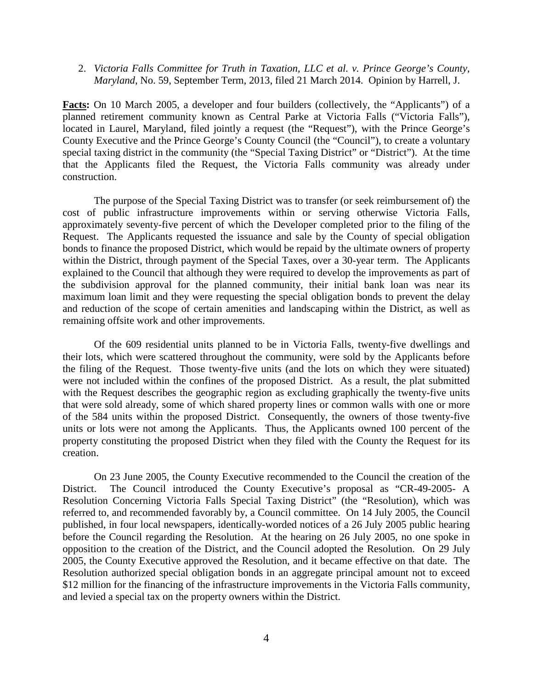#### 2. *Victoria Falls Committee for Truth in Taxation, LLC et al. v. Prince George's County, Maryland*, No. 59, September Term, 2013, filed 21 March 2014. Opinion by Harrell, J.

**Facts:** On 10 March 2005, a developer and four builders (collectively, the "Applicants") of a planned retirement community known as Central Parke at Victoria Falls ("Victoria Falls"), located in Laurel, Maryland, filed jointly a request (the "Request"), with the Prince George's County Executive and the Prince George's County Council (the "Council"), to create a voluntary special taxing district in the community (the "Special Taxing District" or "District"). At the time that the Applicants filed the Request, the Victoria Falls community was already under construction.

The purpose of the Special Taxing District was to transfer (or seek reimbursement of) the cost of public infrastructure improvements within or serving otherwise Victoria Falls, approximately seventy-five percent of which the Developer completed prior to the filing of the Request. The Applicants requested the issuance and sale by the County of special obligation bonds to finance the proposed District, which would be repaid by the ultimate owners of property within the District, through payment of the Special Taxes, over a 30-year term. The Applicants explained to the Council that although they were required to develop the improvements as part of the subdivision approval for the planned community, their initial bank loan was near its maximum loan limit and they were requesting the special obligation bonds to prevent the delay and reduction of the scope of certain amenities and landscaping within the District, as well as remaining offsite work and other improvements.

Of the 609 residential units planned to be in Victoria Falls, twenty-five dwellings and their lots, which were scattered throughout the community, were sold by the Applicants before the filing of the Request. Those twenty-five units (and the lots on which they were situated) were not included within the confines of the proposed District. As a result, the plat submitted with the Request describes the geographic region as excluding graphically the twenty-five units that were sold already, some of which shared property lines or common walls with one or more of the 584 units within the proposed District. Consequently, the owners of those twenty-five units or lots were not among the Applicants. Thus, the Applicants owned 100 percent of the property constituting the proposed District when they filed with the County the Request for its creation.

On 23 June 2005, the County Executive recommended to the Council the creation of the District. The Council introduced the County Executive's proposal as "CR-49-2005- A Resolution Concerning Victoria Falls Special Taxing District" (the "Resolution), which was referred to, and recommended favorably by, a Council committee. On 14 July 2005, the Council published, in four local newspapers, identically-worded notices of a 26 July 2005 public hearing before the Council regarding the Resolution. At the hearing on 26 July 2005, no one spoke in opposition to the creation of the District, and the Council adopted the Resolution. On 29 July 2005, the County Executive approved the Resolution, and it became effective on that date. The Resolution authorized special obligation bonds in an aggregate principal amount not to exceed \$12 million for the financing of the infrastructure improvements in the Victoria Falls community, and levied a special tax on the property owners within the District.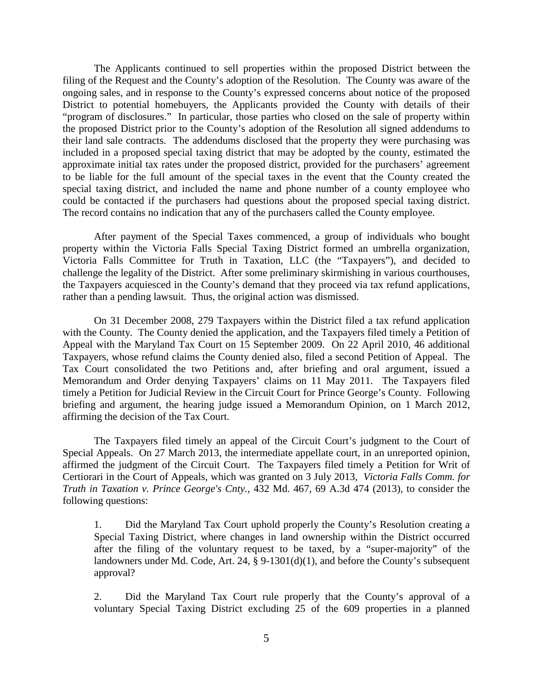The Applicants continued to sell properties within the proposed District between the filing of the Request and the County's adoption of the Resolution. The County was aware of the ongoing sales, and in response to the County's expressed concerns about notice of the proposed District to potential homebuyers, the Applicants provided the County with details of their "program of disclosures." In particular, those parties who closed on the sale of property within the proposed District prior to the County's adoption of the Resolution all signed addendums to their land sale contracts. The addendums disclosed that the property they were purchasing was included in a proposed special taxing district that may be adopted by the county, estimated the approximate initial tax rates under the proposed district, provided for the purchasers' agreement to be liable for the full amount of the special taxes in the event that the County created the special taxing district, and included the name and phone number of a county employee who could be contacted if the purchasers had questions about the proposed special taxing district. The record contains no indication that any of the purchasers called the County employee.

After payment of the Special Taxes commenced, a group of individuals who bought property within the Victoria Falls Special Taxing District formed an umbrella organization, Victoria Falls Committee for Truth in Taxation, LLC (the "Taxpayers"), and decided to challenge the legality of the District. After some preliminary skirmishing in various courthouses, the Taxpayers acquiesced in the County's demand that they proceed via tax refund applications, rather than a pending lawsuit. Thus, the original action was dismissed.

On 31 December 2008, 279 Taxpayers within the District filed a tax refund application with the County. The County denied the application, and the Taxpayers filed timely a Petition of Appeal with the Maryland Tax Court on 15 September 2009. On 22 April 2010, 46 additional Taxpayers, whose refund claims the County denied also, filed a second Petition of Appeal. The Tax Court consolidated the two Petitions and, after briefing and oral argument, issued a Memorandum and Order denying Taxpayers' claims on 11 May 2011. The Taxpayers filed timely a Petition for Judicial Review in the Circuit Court for Prince George's County. Following briefing and argument, the hearing judge issued a Memorandum Opinion, on 1 March 2012, affirming the decision of the Tax Court.

The Taxpayers filed timely an appeal of the Circuit Court's judgment to the Court of Special Appeals. On 27 March 2013, the intermediate appellate court, in an unreported opinion, affirmed the judgment of the Circuit Court. The Taxpayers filed timely a Petition for Writ of Certiorari in the Court of Appeals, which was granted on 3 July 2013, *Victoria Falls Comm. for Truth in Taxation v. Prince George's Cnty.*, 432 Md. 467, 69 A.3d 474 (2013), to consider the following questions:

1. Did the Maryland Tax Court uphold properly the County's Resolution creating a Special Taxing District, where changes in land ownership within the District occurred after the filing of the voluntary request to be taxed, by a "super-majority" of the landowners under Md. Code, Art. 24,  $\frac{8}{9}$  9-1301(d)(1), and before the County's subsequent approval?

2. Did the Maryland Tax Court rule properly that the County's approval of a voluntary Special Taxing District excluding 25 of the 609 properties in a planned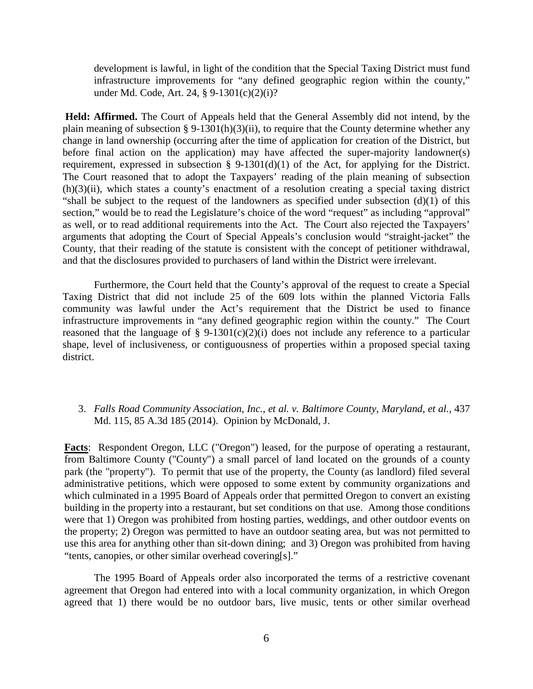development is lawful, in light of the condition that the Special Taxing District must fund infrastructure improvements for "any defined geographic region within the county," under Md. Code, Art. 24, § 9-1301(c)(2)(i)?

**Held: Affirmed.** The Court of Appeals held that the General Assembly did not intend, by the plain meaning of subsection § 9-1301(h)(3)(ii), to require that the County determine whether any change in land ownership (occurring after the time of application for creation of the District, but before final action on the application) may have affected the super-majority landowner(s) requirement, expressed in subsection § 9-1301(d)(1) of the Act, for applying for the District. The Court reasoned that to adopt the Taxpayers' reading of the plain meaning of subsection (h)(3)(ii), which states a county's enactment of a resolution creating a special taxing district "shall be subject to the request of the landowners as specified under subsection  $(d)(1)$  of this section," would be to read the Legislature's choice of the word "request" as including "approval" as well, or to read additional requirements into the Act. The Court also rejected the Taxpayers' arguments that adopting the Court of Special Appeals's conclusion would "straight-jacket" the County, that their reading of the statute is consistent with the concept of petitioner withdrawal, and that the disclosures provided to purchasers of land within the District were irrelevant.

Furthermore, the Court held that the County's approval of the request to create a Special Taxing District that did not include 25 of the 609 lots within the planned Victoria Falls community was lawful under the Act's requirement that the District be used to finance infrastructure improvements in "any defined geographic region within the county." The Court reasoned that the language of § 9-1301(c)(2)(i) does not include any reference to a particular shape, level of inclusiveness, or contiguousness of properties within a proposed special taxing district.

3. *Falls Road Community Association, Inc., et al. v. Baltimore County, Maryland, et al.*, 437 Md. 115, 85 A.3d 185 (2014). Opinion by McDonald, J.

**Facts**: Respondent Oregon, LLC ("Oregon") leased, for the purpose of operating a restaurant, from Baltimore County ("County") a small parcel of land located on the grounds of a county park (the "property"). To permit that use of the property, the County (as landlord) filed several administrative petitions, which were opposed to some extent by community organizations and which culminated in a 1995 Board of Appeals order that permitted Oregon to convert an existing building in the property into a restaurant, but set conditions on that use. Among those conditions were that 1) Oregon was prohibited from hosting parties, weddings, and other outdoor events on the property; 2) Oregon was permitted to have an outdoor seating area, but was not permitted to use this area for anything other than sit-down dining; and 3) Oregon was prohibited from having "tents, canopies, or other similar overhead covering[s]."

The 1995 Board of Appeals order also incorporated the terms of a restrictive covenant agreement that Oregon had entered into with a local community organization, in which Oregon agreed that 1) there would be no outdoor bars, live music, tents or other similar overhead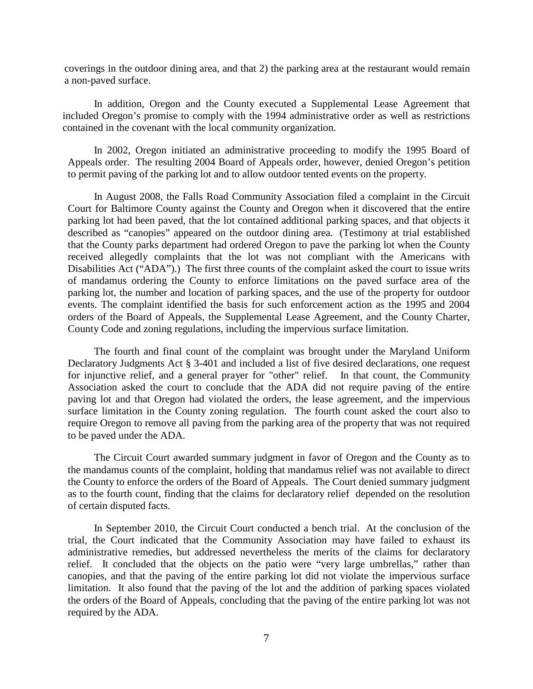coverings in the outdoor dining area, and that 2) the parking area at the restaurant would remain a non-paved surface.

In addition, Oregon and the County executed a Supplemental Lease Agreement that included Oregon's promise to comply with the 1994 administrative order as well as restrictions contained in the covenant with the local community organization.

In 2002, Oregon initiated an administrative proceeding to modify the 1995 Board of Appeals order. The resulting 2004 Board of Appeals order, however, denied Oregon's petition to permit paving of the parking lot and to allow outdoor tented events on the property.

In August 2008, the Falls Road Community Association filed a complaint in the Circuit Court for Baltimore County against the County and Oregon when it discovered that the entire parking lot had been paved, that the lot contained additional parking spaces, and that objects it described as "canopies" appeared on the outdoor dining area. (Testimony at trial established that the County parks department had ordered Oregon to pave the parking lot when the County received allegedly complaints that the lot was not compliant with the Americans with Disabilities Act ("ADA").) The first three counts of the complaint asked the court to issue writs of mandamus ordering the County to enforce limitations on the paved surface area of the parking lot, the number and location of parking spaces, and the use of the property for outdoor events. The complaint identified the basis for such enforcement action as the 1995 and 2004 orders of the Board of Appeals, the Supplemental Lease Agreement, and the County Charter, County Code and zoning regulations, including the impervious surface limitation.

The fourth and final count of the complaint was brought under the Maryland Uniform Declaratory Judgments Act § 3-401 and included a list of five desired declarations, one request for injunctive relief, and a general prayer for "other" relief. In that count, the Community Association asked the court to conclude that the ADA did not require paving of the entire paving lot and that Oregon had violated the orders, the lease agreement, and the impervious surface limitation in the County zoning regulation. The fourth count asked the court also to require Oregon to remove all paving from the parking area of the property that was not required to be paved under the ADA.

The Circuit Court awarded summary judgment in favor of Oregon and the County as to the mandamus counts of the complaint, holding that mandamus relief was not available to direct the County to enforce the orders of the Board of Appeals. The Court denied summary judgment as to the fourth count, finding that the claims for declaratory relief depended on the resolution of certain disputed facts.

In September 2010, the Circuit Court conducted a bench trial. At the conclusion of the trial, the Court indicated that the Community Association may have failed to exhaust its administrative remedies, but addressed nevertheless the merits of the claims for declaratory relief. It concluded that the objects on the patio were "very large umbrellas," rather than canopies, and that the paving of the entire parking lot did not violate the impervious surface limitation. It also found that the paving of the lot and the addition of parking spaces violated the orders of the Board of Appeals, concluding that the paving of the entire parking lot was not required by the ADA.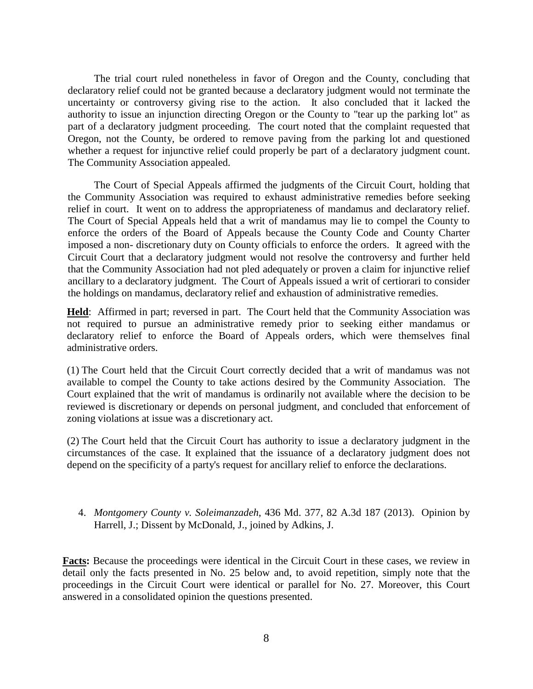The trial court ruled nonetheless in favor of Oregon and the County, concluding that declaratory relief could not be granted because a declaratory judgment would not terminate the uncertainty or controversy giving rise to the action. It also concluded that it lacked the authority to issue an injunction directing Oregon or the County to "tear up the parking lot" as part of a declaratory judgment proceeding. The court noted that the complaint requested that Oregon, not the County, be ordered to remove paving from the parking lot and questioned whether a request for injunctive relief could properly be part of a declaratory judgment count. The Community Association appealed.

The Court of Special Appeals affirmed the judgments of the Circuit Court, holding that the Community Association was required to exhaust administrative remedies before seeking relief in court. It went on to address the appropriateness of mandamus and declaratory relief. The Court of Special Appeals held that a writ of mandamus may lie to compel the County to enforce the orders of the Board of Appeals because the County Code and County Charter imposed a non- discretionary duty on County officials to enforce the orders. It agreed with the Circuit Court that a declaratory judgment would not resolve the controversy and further held that the Community Association had not pled adequately or proven a claim for injunctive relief ancillary to a declaratory judgment. The Court of Appeals issued a writ of certiorari to consider the holdings on mandamus, declaratory relief and exhaustion of administrative remedies.

**Held**: Affirmed in part; reversed in part. The Court held that the Community Association was not required to pursue an administrative remedy prior to seeking either mandamus or declaratory relief to enforce the Board of Appeals orders, which were themselves final administrative orders.

(1) The Court held that the Circuit Court correctly decided that a writ of mandamus was not available to compel the County to take actions desired by the Community Association. The Court explained that the writ of mandamus is ordinarily not available where the decision to be reviewed is discretionary or depends on personal judgment, and concluded that enforcement of zoning violations at issue was a discretionary act.

(2) The Court held that the Circuit Court has authority to issue a declaratory judgment in the circumstances of the case. It explained that the issuance of a declaratory judgment does not depend on the specificity of a party's request for ancillary relief to enforce the declarations.

## 4. *Montgomery County v. Soleimanzadeh*, 436 Md. 377, 82 A.3d 187 (2013). Opinion by Harrell, J.; Dissent by McDonald, J., joined by Adkins, J.

**Facts:** Because the proceedings were identical in the Circuit Court in these cases, we review in detail only the facts presented in No. 25 below and, to avoid repetition, simply note that the proceedings in the Circuit Court were identical or parallel for No. 27. Moreover, this Court answered in a consolidated opinion the questions presented.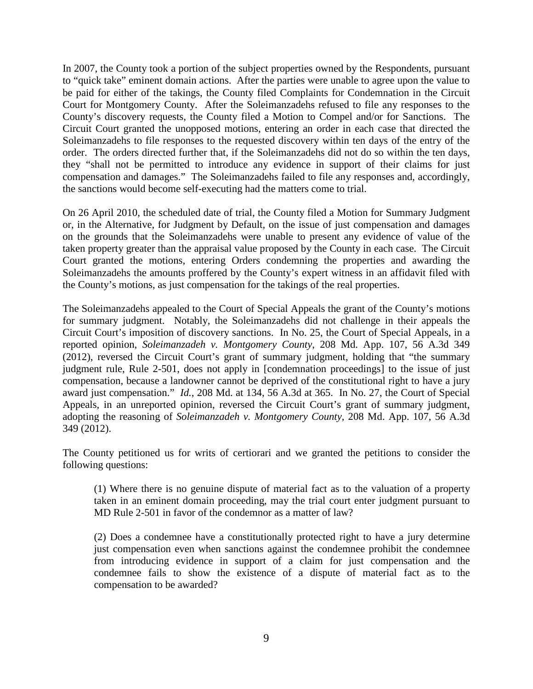In 2007, the County took a portion of the subject properties owned by the Respondents, pursuant to "quick take" eminent domain actions. After the parties were unable to agree upon the value to be paid for either of the takings, the County filed Complaints for Condemnation in the Circuit Court for Montgomery County. After the Soleimanzadehs refused to file any responses to the County's discovery requests, the County filed a Motion to Compel and/or for Sanctions. The Circuit Court granted the unopposed motions, entering an order in each case that directed the Soleimanzadehs to file responses to the requested discovery within ten days of the entry of the order. The orders directed further that, if the Soleimanzadehs did not do so within the ten days, they "shall not be permitted to introduce any evidence in support of their claims for just compensation and damages." The Soleimanzadehs failed to file any responses and, accordingly, the sanctions would become self-executing had the matters come to trial.

On 26 April 2010, the scheduled date of trial, the County filed a Motion for Summary Judgment or, in the Alternative, for Judgment by Default, on the issue of just compensation and damages on the grounds that the Soleimanzadehs were unable to present any evidence of value of the taken property greater than the appraisal value proposed by the County in each case. The Circuit Court granted the motions, entering Orders condemning the properties and awarding the Soleimanzadehs the amounts proffered by the County's expert witness in an affidavit filed with the County's motions, as just compensation for the takings of the real properties.

The Soleimanzadehs appealed to the Court of Special Appeals the grant of the County's motions for summary judgment. Notably, the Soleimanzadehs did not challenge in their appeals the Circuit Court's imposition of discovery sanctions. In No. 25, the Court of Special Appeals, in a reported opinion, *Soleimanzadeh v. Montgomery County*, 208 Md. App. 107, 56 A.3d 349 (2012), reversed the Circuit Court's grant of summary judgment, holding that "the summary judgment rule, Rule 2-501, does not apply in [condemnation proceedings] to the issue of just compensation, because a landowner cannot be deprived of the constitutional right to have a jury award just compensation." *Id.*, 208 Md. at 134, 56 A.3d at 365. In No. 27, the Court of Special Appeals, in an unreported opinion, reversed the Circuit Court's grant of summary judgment, adopting the reasoning of *Soleimanzadeh v. Montgomery County*, 208 Md. App. 107, 56 A.3d 349 (2012).

The County petitioned us for writs of certiorari and we granted the petitions to consider the following questions:

(1) Where there is no genuine dispute of material fact as to the valuation of a property taken in an eminent domain proceeding, may the trial court enter judgment pursuant to MD Rule 2-501 in favor of the condemnor as a matter of law?

(2) Does a condemnee have a constitutionally protected right to have a jury determine just compensation even when sanctions against the condemnee prohibit the condemnee from introducing evidence in support of a claim for just compensation and the condemnee fails to show the existence of a dispute of material fact as to the compensation to be awarded?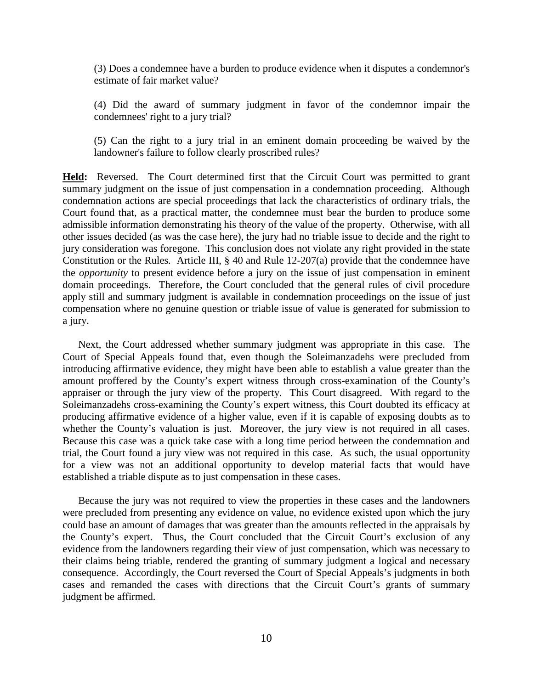(3) Does a condemnee have a burden to produce evidence when it disputes a condemnor's estimate of fair market value?

(4) Did the award of summary judgment in favor of the condemnor impair the condemnees' right to a jury trial?

(5) Can the right to a jury trial in an eminent domain proceeding be waived by the landowner's failure to follow clearly proscribed rules?

**Held:** Reversed. The Court determined first that the Circuit Court was permitted to grant summary judgment on the issue of just compensation in a condemnation proceeding. Although condemnation actions are special proceedings that lack the characteristics of ordinary trials, the Court found that, as a practical matter, the condemnee must bear the burden to produce some admissible information demonstrating his theory of the value of the property. Otherwise, with all other issues decided (as was the case here), the jury had no triable issue to decide and the right to jury consideration was foregone. This conclusion does not violate any right provided in the state Constitution or the Rules. Article III, § 40 and Rule 12-207(a) provide that the condemnee have the *opportunity* to present evidence before a jury on the issue of just compensation in eminent domain proceedings. Therefore, the Court concluded that the general rules of civil procedure apply still and summary judgment is available in condemnation proceedings on the issue of just compensation where no genuine question or triable issue of value is generated for submission to a jury.

Next, the Court addressed whether summary judgment was appropriate in this case. The Court of Special Appeals found that, even though the Soleimanzadehs were precluded from introducing affirmative evidence, they might have been able to establish a value greater than the amount proffered by the County's expert witness through cross-examination of the County's appraiser or through the jury view of the property. This Court disagreed. With regard to the Soleimanzadehs cross-examining the County's expert witness, this Court doubted its efficacy at producing affirmative evidence of a higher value, even if it is capable of exposing doubts as to whether the County's valuation is just. Moreover, the jury view is not required in all cases. Because this case was a quick take case with a long time period between the condemnation and trial, the Court found a jury view was not required in this case. As such, the usual opportunity for a view was not an additional opportunity to develop material facts that would have established a triable dispute as to just compensation in these cases.

Because the jury was not required to view the properties in these cases and the landowners were precluded from presenting any evidence on value, no evidence existed upon which the jury could base an amount of damages that was greater than the amounts reflected in the appraisals by the County's expert. Thus, the Court concluded that the Circuit Court's exclusion of any evidence from the landowners regarding their view of just compensation, which was necessary to their claims being triable, rendered the granting of summary judgment a logical and necessary consequence. Accordingly, the Court reversed the Court of Special Appeals's judgments in both cases and remanded the cases with directions that the Circuit Court's grants of summary judgment be affirmed.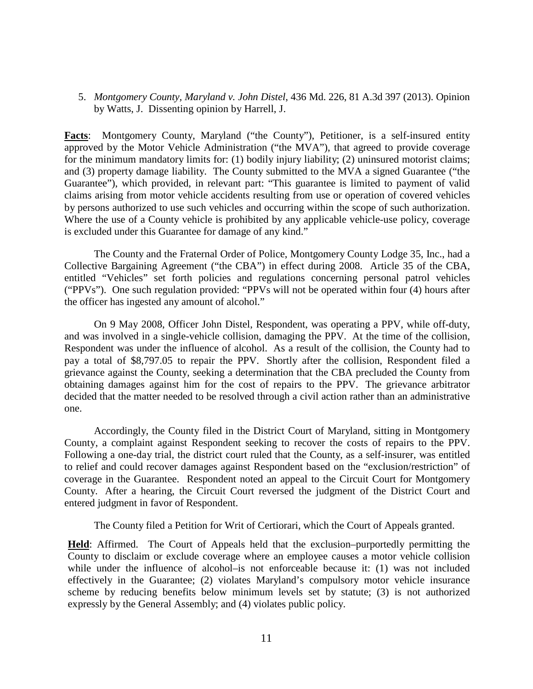5. *Montgomery County, Maryland v. John Distel*, 436 Md. 226, 81 A.3d 397 (2013). Opinion by Watts, J. Dissenting opinion by Harrell, J.

**Facts**: Montgomery County, Maryland ("the County"), Petitioner, is a self-insured entity approved by the Motor Vehicle Administration ("the MVA"), that agreed to provide coverage for the minimum mandatory limits for: (1) bodily injury liability; (2) uninsured motorist claims; and (3) property damage liability. The County submitted to the MVA a signed Guarantee ("the Guarantee"), which provided, in relevant part: "This guarantee is limited to payment of valid claims arising from motor vehicle accidents resulting from use or operation of covered vehicles by persons authorized to use such vehicles and occurring within the scope of such authorization. Where the use of a County vehicle is prohibited by any applicable vehicle-use policy, coverage is excluded under this Guarantee for damage of any kind."

The County and the Fraternal Order of Police, Montgomery County Lodge 35, Inc., had a Collective Bargaining Agreement ("the CBA") in effect during 2008. Article 35 of the CBA, entitled "Vehicles" set forth policies and regulations concerning personal patrol vehicles ("PPVs"). One such regulation provided: "PPVs will not be operated within four (4) hours after the officer has ingested any amount of alcohol."

On 9 May 2008, Officer John Distel, Respondent, was operating a PPV, while off-duty, and was involved in a single-vehicle collision, damaging the PPV. At the time of the collision, Respondent was under the influence of alcohol. As a result of the collision, the County had to pay a total of \$8,797.05 to repair the PPV. Shortly after the collision, Respondent filed a grievance against the County, seeking a determination that the CBA precluded the County from obtaining damages against him for the cost of repairs to the PPV. The grievance arbitrator decided that the matter needed to be resolved through a civil action rather than an administrative one.

Accordingly, the County filed in the District Court of Maryland, sitting in Montgomery County, a complaint against Respondent seeking to recover the costs of repairs to the PPV. Following a one-day trial, the district court ruled that the County, as a self-insurer, was entitled to relief and could recover damages against Respondent based on the "exclusion/restriction" of coverage in the Guarantee. Respondent noted an appeal to the Circuit Court for Montgomery County. After a hearing, the Circuit Court reversed the judgment of the District Court and entered judgment in favor of Respondent.

The County filed a Petition for Writ of Certiorari, which the Court of Appeals granted.

**Held**: Affirmed. The Court of Appeals held that the exclusion–purportedly permitting the County to disclaim or exclude coverage where an employee causes a motor vehicle collision while under the influence of alcohol–is not enforceable because it: (1) was not included effectively in the Guarantee; (2) violates Maryland's compulsory motor vehicle insurance scheme by reducing benefits below minimum levels set by statute; (3) is not authorized expressly by the General Assembly; and (4) violates public policy.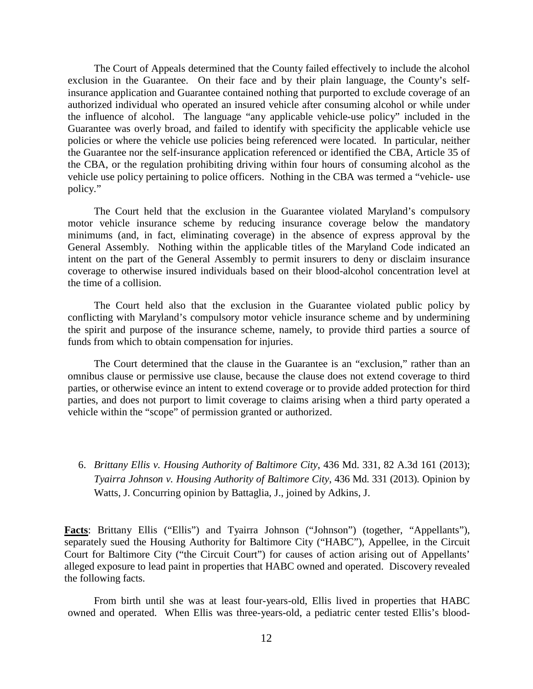The Court of Appeals determined that the County failed effectively to include the alcohol exclusion in the Guarantee. On their face and by their plain language, the County's selfinsurance application and Guarantee contained nothing that purported to exclude coverage of an authorized individual who operated an insured vehicle after consuming alcohol or while under the influence of alcohol. The language "any applicable vehicle-use policy" included in the Guarantee was overly broad, and failed to identify with specificity the applicable vehicle use policies or where the vehicle use policies being referenced were located. In particular, neither the Guarantee nor the self-insurance application referenced or identified the CBA, Article 35 of the CBA, or the regulation prohibiting driving within four hours of consuming alcohol as the vehicle use policy pertaining to police officers. Nothing in the CBA was termed a "vehicle- use policy."

The Court held that the exclusion in the Guarantee violated Maryland's compulsory motor vehicle insurance scheme by reducing insurance coverage below the mandatory minimums (and, in fact, eliminating coverage) in the absence of express approval by the General Assembly. Nothing within the applicable titles of the Maryland Code indicated an intent on the part of the General Assembly to permit insurers to deny or disclaim insurance coverage to otherwise insured individuals based on their blood-alcohol concentration level at the time of a collision.

The Court held also that the exclusion in the Guarantee violated public policy by conflicting with Maryland's compulsory motor vehicle insurance scheme and by undermining the spirit and purpose of the insurance scheme, namely, to provide third parties a source of funds from which to obtain compensation for injuries.

The Court determined that the clause in the Guarantee is an "exclusion," rather than an omnibus clause or permissive use clause, because the clause does not extend coverage to third parties, or otherwise evince an intent to extend coverage or to provide added protection for third parties, and does not purport to limit coverage to claims arising when a third party operated a vehicle within the "scope" of permission granted or authorized.

6. *Brittany Ellis v. Housing Authority of Baltimore City*, 436 Md. 331, 82 A.3d 161 (2013); *Tyairra Johnson v. Housing Authority of Baltimore City*, 436 Md. 331 (2013). Opinion by Watts, J. Concurring opinion by Battaglia, J., joined by Adkins, J.

**Facts**: Brittany Ellis ("Ellis") and Tyairra Johnson ("Johnson") (together, "Appellants"), separately sued the Housing Authority for Baltimore City ("HABC"), Appellee, in the Circuit Court for Baltimore City ("the Circuit Court") for causes of action arising out of Appellants' alleged exposure to lead paint in properties that HABC owned and operated. Discovery revealed the following facts.

From birth until she was at least four-years-old, Ellis lived in properties that HABC owned and operated. When Ellis was three-years-old, a pediatric center tested Ellis's blood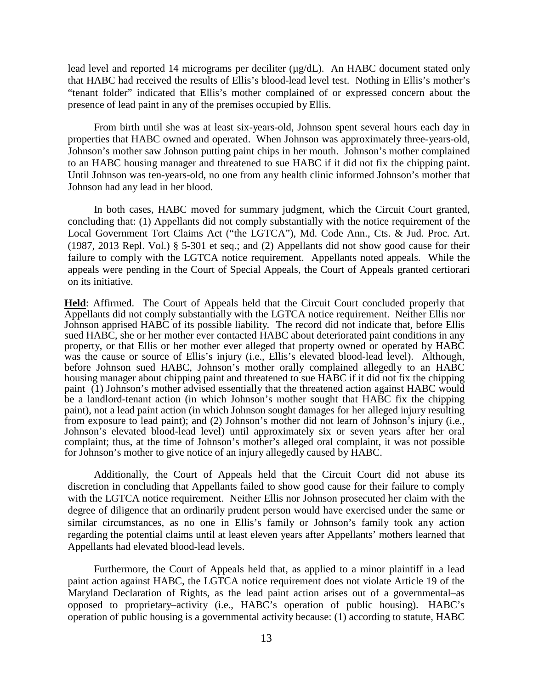lead level and reported 14 micrograms per deciliter ( $\mu$ g/dL). An HABC document stated only that HABC had received the results of Ellis's blood-lead level test. Nothing in Ellis's mother's "tenant folder" indicated that Ellis's mother complained of or expressed concern about the presence of lead paint in any of the premises occupied by Ellis.

From birth until she was at least six-years-old, Johnson spent several hours each day in properties that HABC owned and operated. When Johnson was approximately three-years-old, Johnson's mother saw Johnson putting paint chips in her mouth. Johnson's mother complained to an HABC housing manager and threatened to sue HABC if it did not fix the chipping paint. Until Johnson was ten-years-old, no one from any health clinic informed Johnson's mother that Johnson had any lead in her blood.

In both cases, HABC moved for summary judgment, which the Circuit Court granted, concluding that: (1) Appellants did not comply substantially with the notice requirement of the Local Government Tort Claims Act ("the LGTCA"), Md. Code Ann., Cts. & Jud. Proc. Art. (1987, 2013 Repl. Vol.) § 5-301 et seq.; and (2) Appellants did not show good cause for their failure to comply with the LGTCA notice requirement. Appellants noted appeals. While the appeals were pending in the Court of Special Appeals, the Court of Appeals granted certiorari on its initiative.

**Held**: Affirmed. The Court of Appeals held that the Circuit Court concluded properly that Appellants did not comply substantially with the LGTCA notice requirement. Neither Ellis nor Johnson apprised HABC of its possible liability. The record did not indicate that, before Ellis sued HABC, she or her mother ever contacted HABC about deteriorated paint conditions in any property, or that Ellis or her mother ever alleged that property owned or operated by HABC was the cause or source of Ellis's injury (i.e., Ellis's elevated blood-lead level). Although, before Johnson sued HABC, Johnson's mother orally complained allegedly to an HABC housing manager about chipping paint and threatened to sue HABC if it did not fix the chipping paint (1) Johnson's mother advised essentially that the threatened action against HABC would be a landlord-tenant action (in which Johnson's mother sought that HABC fix the chipping paint), not a lead paint action (in which Johnson sought damages for her alleged injury resulting from exposure to lead paint); and (2) Johnson's mother did not learn of Johnson's injury (i.e., Johnson's elevated blood-lead level) until approximately six or seven years after her oral complaint; thus, at the time of Johnson's mother's alleged oral complaint, it was not possible for Johnson's mother to give notice of an injury allegedly caused by HABC.

Additionally, the Court of Appeals held that the Circuit Court did not abuse its discretion in concluding that Appellants failed to show good cause for their failure to comply with the LGTCA notice requirement. Neither Ellis nor Johnson prosecuted her claim with the degree of diligence that an ordinarily prudent person would have exercised under the same or similar circumstances, as no one in Ellis's family or Johnson's family took any action regarding the potential claims until at least eleven years after Appellants' mothers learned that Appellants had elevated blood-lead levels.

Furthermore, the Court of Appeals held that, as applied to a minor plaintiff in a lead paint action against HABC, the LGTCA notice requirement does not violate Article 19 of the Maryland Declaration of Rights, as the lead paint action arises out of a governmental–as opposed to proprietary–activity (i.e., HABC's operation of public housing). HABC's operation of public housing is a governmental activity because: (1) according to statute, HABC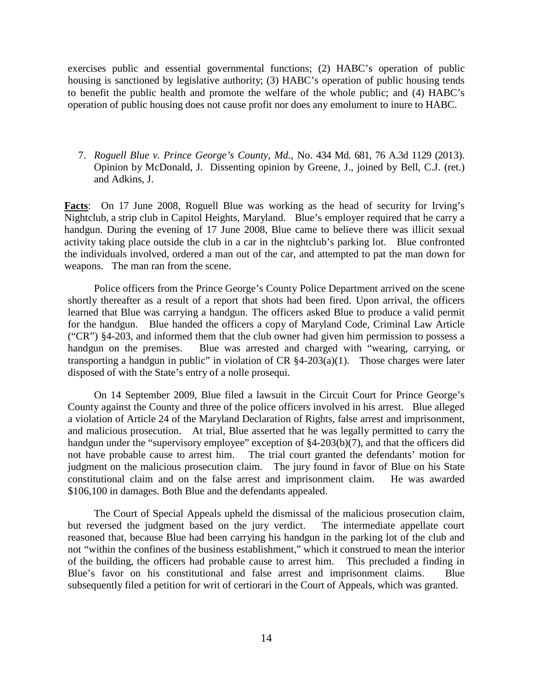exercises public and essential governmental functions; (2) HABC's operation of public housing is sanctioned by legislative authority; (3) HABC's operation of public housing tends to benefit the public health and promote the welfare of the whole public; and (4) HABC's operation of public housing does not cause profit nor does any emolument to inure to HABC.

7. *Roguell Blue v. Prince George's County, Md.*, No. 434 Md. 681, 76 A.3d 1129 (2013). Opinion by McDonald, J. Dissenting opinion by Greene, J., joined by Bell, C.J. (ret.) and Adkins, J.

**Facts**: On 17 June 2008, Roguell Blue was working as the head of security for Irving's Nightclub, a strip club in Capitol Heights, Maryland. Blue's employer required that he carry a handgun. During the evening of 17 June 2008, Blue came to believe there was illicit sexual activity taking place outside the club in a car in the nightclub's parking lot. Blue confronted the individuals involved, ordered a man out of the car, and attempted to pat the man down for weapons. The man ran from the scene.

Police officers from the Prince George's County Police Department arrived on the scene shortly thereafter as a result of a report that shots had been fired. Upon arrival, the officers learned that Blue was carrying a handgun. The officers asked Blue to produce a valid permit for the handgun. Blue handed the officers a copy of Maryland Code, Criminal Law Article ("CR") §4-203, and informed them that the club owner had given him permission to possess a handgun on the premises. Blue was arrested and charged with "wearing, carrying, or transporting a handgun in public" in violation of  $CR \$ §4-203(a)(1). Those charges were later disposed of with the State's entry of a nolle prosequi.

On 14 September 2009, Blue filed a lawsuit in the Circuit Court for Prince George's County against the County and three of the police officers involved in his arrest. Blue alleged a violation of Article 24 of the Maryland Declaration of Rights, false arrest and imprisonment, and malicious prosecution. At trial, Blue asserted that he was legally permitted to carry the handgun under the "supervisory employee" exception of §4-203(b)(7), and that the officers did not have probable cause to arrest him. The trial court granted the defendants' motion for judgment on the malicious prosecution claim. The jury found in favor of Blue on his State constitutional claim and on the false arrest and imprisonment claim. He was awarded \$106,100 in damages. Both Blue and the defendants appealed.

The Court of Special Appeals upheld the dismissal of the malicious prosecution claim, but reversed the judgment based on the jury verdict. The intermediate appellate court reasoned that, because Blue had been carrying his handgun in the parking lot of the club and not "within the confines of the business establishment," which it construed to mean the interior of the building, the officers had probable cause to arrest him. This precluded a finding in Blue's favor on his constitutional and false arrest and imprisonment claims. Blue subsequently filed a petition for writ of certiorari in the Court of Appeals, which was granted.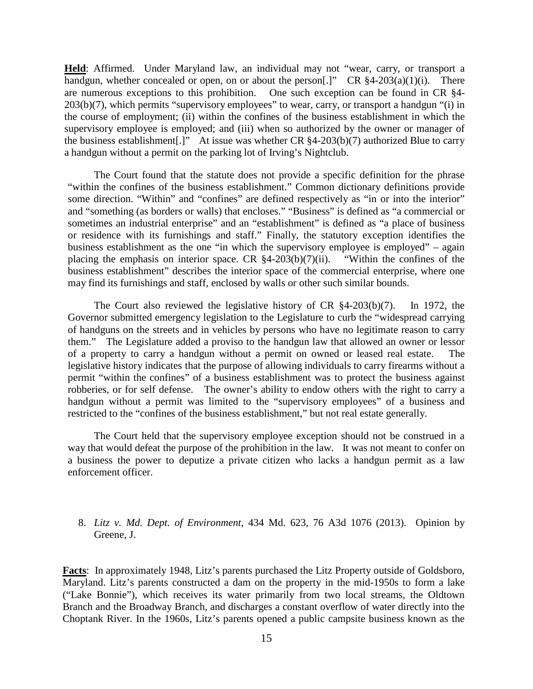**Held**: Affirmed. Under Maryland law, an individual may not "wear, carry, or transport a handgun, whether concealed or open, on or about the person[.]" CR  $§4-203(a)(1)(i)$ . There are numerous exceptions to this prohibition. One such exception can be found in CR §4- 203(b)(7), which permits "supervisory employees" to wear, carry, or transport a handgun "(i) in the course of employment; (ii) within the confines of the business establishment in which the supervisory employee is employed; and (iii) when so authorized by the owner or manager of the business establishment[.]" At issue was whether CR §4-203(b)(7) authorized Blue to carry a handgun without a permit on the parking lot of Irving's Nightclub.

The Court found that the statute does not provide a specific definition for the phrase "within the confines of the business establishment." Common dictionary definitions provide some direction. "Within" and "confines" are defined respectively as "in or into the interior" and "something (as borders or walls) that encloses." "Business" is defined as "a commercial or sometimes an industrial enterprise" and an "establishment" is defined as "a place of business or residence with its furnishings and staff." Finally, the statutory exception identifies the business establishment as the one "in which the supervisory employee is employed" – again placing the emphasis on interior space. CR  $§4-203(b)(7)(ii)$ . "Within the confines of the placing the emphasis on interior space. CR  $§4-203(b)(7)(ii)$ . business establishment" describes the interior space of the commercial enterprise, where one may find its furnishings and staff, enclosed by walls or other such similar bounds.

The Court also reviewed the legislative history of CR §4-203(b)(7). In 1972, the Governor submitted emergency legislation to the Legislature to curb the "widespread carrying of handguns on the streets and in vehicles by persons who have no legitimate reason to carry them." The Legislature added a proviso to the handgun law that allowed an owner or lessor of a property to carry a handgun without a permit on owned or leased real estate. The legislative history indicates that the purpose of allowing individuals to carry firearms without a permit "within the confines" of a business establishment was to protect the business against robberies, or for self defense. The owner's ability to endow others with the right to carry a handgun without a permit was limited to the "supervisory employees" of a business and restricted to the "confines of the business establishment," but not real estate generally.

The Court held that the supervisory employee exception should not be construed in a way that would defeat the purpose of the prohibition in the law. It was not meant to confer on a business the power to deputize a private citizen who lacks a handgun permit as a law enforcement officer.

# 8. *Litz v. Md. Dept. of Environment*, 434 Md. 623, 76 A3d 1076 (2013). Opinion by Greene, J.

**Facts**: In approximately 1948, Litz's parents purchased the Litz Property outside of Goldsboro, Maryland. Litz's parents constructed a dam on the property in the mid-1950s to form a lake ("Lake Bonnie"), which receives its water primarily from two local streams, the Oldtown Branch and the Broadway Branch, and discharges a constant overflow of water directly into the Choptank River. In the 1960s, Litz's parents opened a public campsite business known as the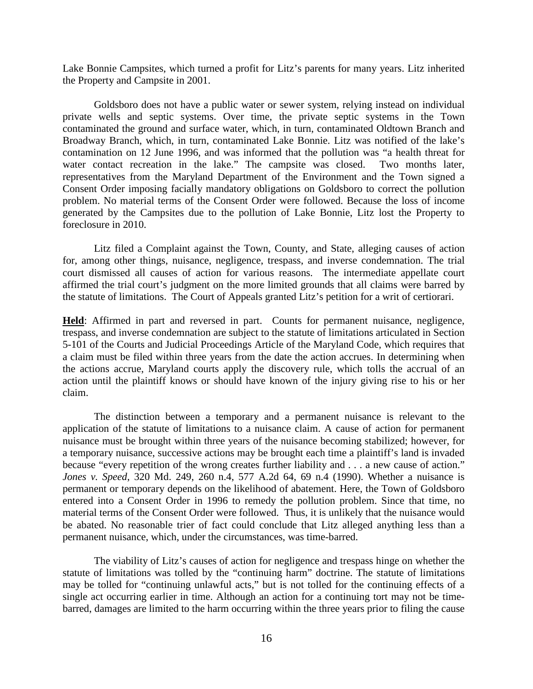Lake Bonnie Campsites, which turned a profit for Litz's parents for many years. Litz inherited the Property and Campsite in 2001.

Goldsboro does not have a public water or sewer system, relying instead on individual private wells and septic systems. Over time, the private septic systems in the Town contaminated the ground and surface water, which, in turn, contaminated Oldtown Branch and Broadway Branch, which, in turn, contaminated Lake Bonnie. Litz was notified of the lake's contamination on 12 June 1996, and was informed that the pollution was "a health threat for water contact recreation in the lake." The campsite was closed. Two months later, representatives from the Maryland Department of the Environment and the Town signed a Consent Order imposing facially mandatory obligations on Goldsboro to correct the pollution problem. No material terms of the Consent Order were followed. Because the loss of income generated by the Campsites due to the pollution of Lake Bonnie, Litz lost the Property to foreclosure in 2010.

Litz filed a Complaint against the Town, County, and State, alleging causes of action for, among other things, nuisance, negligence, trespass, and inverse condemnation. The trial court dismissed all causes of action for various reasons. The intermediate appellate court affirmed the trial court's judgment on the more limited grounds that all claims were barred by the statute of limitations. The Court of Appeals granted Litz's petition for a writ of certiorari.

**Held**: Affirmed in part and reversed in part. Counts for permanent nuisance, negligence, trespass, and inverse condemnation are subject to the statute of limitations articulated in Section 5-101 of the Courts and Judicial Proceedings Article of the Maryland Code, which requires that a claim must be filed within three years from the date the action accrues. In determining when the actions accrue, Maryland courts apply the discovery rule, which tolls the accrual of an action until the plaintiff knows or should have known of the injury giving rise to his or her claim.

The distinction between a temporary and a permanent nuisance is relevant to the application of the statute of limitations to a nuisance claim. A cause of action for permanent nuisance must be brought within three years of the nuisance becoming stabilized; however, for a temporary nuisance, successive actions may be brought each time a plaintiff's land is invaded because "every repetition of the wrong creates further liability and . . . a new cause of action." *Jones v. Speed*, 320 Md. 249, 260 n.4, 577 A.2d 64, 69 n.4 (1990). Whether a nuisance is permanent or temporary depends on the likelihood of abatement. Here, the Town of Goldsboro entered into a Consent Order in 1996 to remedy the pollution problem. Since that time, no material terms of the Consent Order were followed. Thus, it is unlikely that the nuisance would be abated. No reasonable trier of fact could conclude that Litz alleged anything less than a permanent nuisance, which, under the circumstances, was time-barred.

The viability of Litz's causes of action for negligence and trespass hinge on whether the statute of limitations was tolled by the "continuing harm" doctrine. The statute of limitations may be tolled for "continuing unlawful acts," but is not tolled for the continuing effects of a single act occurring earlier in time. Although an action for a continuing tort may not be timebarred, damages are limited to the harm occurring within the three years prior to filing the cause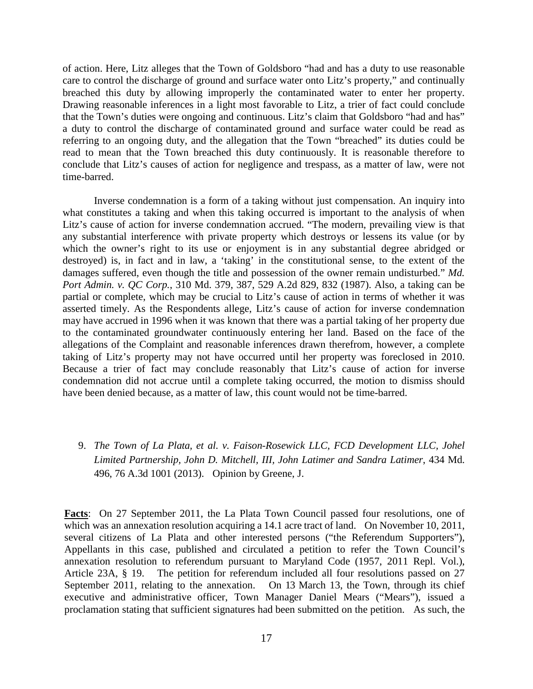of action. Here, Litz alleges that the Town of Goldsboro "had and has a duty to use reasonable care to control the discharge of ground and surface water onto Litz's property," and continually breached this duty by allowing improperly the contaminated water to enter her property. Drawing reasonable inferences in a light most favorable to Litz, a trier of fact could conclude that the Town's duties were ongoing and continuous. Litz's claim that Goldsboro "had and has" a duty to control the discharge of contaminated ground and surface water could be read as referring to an ongoing duty, and the allegation that the Town "breached" its duties could be read to mean that the Town breached this duty continuously. It is reasonable therefore to conclude that Litz's causes of action for negligence and trespass, as a matter of law, were not time-barred.

Inverse condemnation is a form of a taking without just compensation. An inquiry into what constitutes a taking and when this taking occurred is important to the analysis of when Litz's cause of action for inverse condemnation accrued. "The modern, prevailing view is that any substantial interference with private property which destroys or lessens its value (or by which the owner's right to its use or enjoyment is in any substantial degree abridged or destroyed) is, in fact and in law, a 'taking' in the constitutional sense, to the extent of the damages suffered, even though the title and possession of the owner remain undisturbed." *Md. Port Admin. v. QC Corp.*, 310 Md. 379, 387, 529 A.2d 829, 832 (1987). Also, a taking can be partial or complete, which may be crucial to Litz's cause of action in terms of whether it was asserted timely. As the Respondents allege, Litz's cause of action for inverse condemnation may have accrued in 1996 when it was known that there was a partial taking of her property due to the contaminated groundwater continuously entering her land. Based on the face of the allegations of the Complaint and reasonable inferences drawn therefrom, however, a complete taking of Litz's property may not have occurred until her property was foreclosed in 2010. Because a trier of fact may conclude reasonably that Litz's cause of action for inverse condemnation did not accrue until a complete taking occurred, the motion to dismiss should have been denied because, as a matter of law, this count would not be time-barred.

9. *The Town of La Plata, et al. v. Faison-Rosewick LLC, FCD Development LLC, Johel Limited Partnership, John D. Mitchell, III, John Latimer and Sandra Latimer*, 434 Md. 496, 76 A.3d 1001 (2013). Opinion by Greene, J.

**Facts**: On 27 September 2011, the La Plata Town Council passed four resolutions, one of which was an annexation resolution acquiring a 14.1 acre tract of land. On November 10, 2011, several citizens of La Plata and other interested persons ("the Referendum Supporters"), Appellants in this case, published and circulated a petition to refer the Town Council's annexation resolution to referendum pursuant to Maryland Code (1957, 2011 Repl. Vol.), Article 23A, § 19. The petition for referendum included all four resolutions passed on 27 September 2011, relating to the annexation. On 13 March 13, the Town, through its chief executive and administrative officer, Town Manager Daniel Mears ("Mears"), issued a proclamation stating that sufficient signatures had been submitted on the petition. As such, the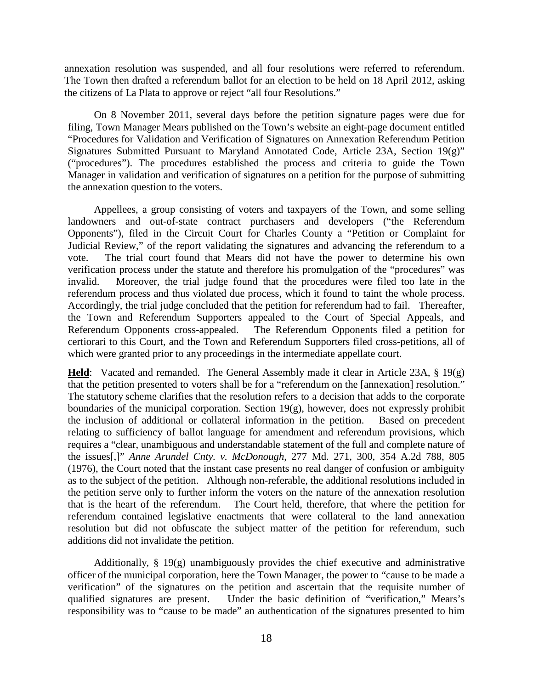annexation resolution was suspended, and all four resolutions were referred to referendum. The Town then drafted a referendum ballot for an election to be held on 18 April 2012, asking the citizens of La Plata to approve or reject "all four Resolutions."

On 8 November 2011, several days before the petition signature pages were due for filing, Town Manager Mears published on the Town's website an eight-page document entitled "Procedures for Validation and Verification of Signatures on Annexation Referendum Petition Signatures Submitted Pursuant to Maryland Annotated Code, Article 23A, Section 19(g)" ("procedures"). The procedures established the process and criteria to guide the Town Manager in validation and verification of signatures on a petition for the purpose of submitting the annexation question to the voters.

Appellees, a group consisting of voters and taxpayers of the Town, and some selling landowners and out-of-state contract purchasers and developers ("the Referendum Opponents"), filed in the Circuit Court for Charles County a "Petition or Complaint for Judicial Review," of the report validating the signatures and advancing the referendum to a vote. The trial court found that Mears did not have the power to determine his own verification process under the statute and therefore his promulgation of the "procedures" was invalid. Moreover, the trial judge found that the procedures were filed too late in the referendum process and thus violated due process, which it found to taint the whole process. Accordingly, the trial judge concluded that the petition for referendum had to fail. Thereafter, the Town and Referendum Supporters appealed to the Court of Special Appeals, and Referendum Opponents cross-appealed. The Referendum Opponents filed a petition for certiorari to this Court, and the Town and Referendum Supporters filed cross-petitions, all of which were granted prior to any proceedings in the intermediate appellate court.

**Held**: Vacated and remanded. The General Assembly made it clear in Article 23A, § 19(g) that the petition presented to voters shall be for a "referendum on the [annexation] resolution." The statutory scheme clarifies that the resolution refers to a decision that adds to the corporate boundaries of the municipal corporation. Section 19(g), however, does not expressly prohibit the inclusion of additional or collateral information in the petition. Based on precedent relating to sufficiency of ballot language for amendment and referendum provisions, which requires a "clear, unambiguous and understandable statement of the full and complete nature of the issues[,]" *Anne Arundel Cnty. v. McDonough*, 277 Md. 271, 300, 354 A.2d 788, 805 (1976), the Court noted that the instant case presents no real danger of confusion or ambiguity as to the subject of the petition. Although non-referable, the additional resolutions included in the petition serve only to further inform the voters on the nature of the annexation resolution that is the heart of the referendum. The Court held, therefore, that where the petition for referendum contained legislative enactments that were collateral to the land annexation resolution but did not obfuscate the subject matter of the petition for referendum, such additions did not invalidate the petition.

Additionally,  $\S$  19(g) unambiguously provides the chief executive and administrative officer of the municipal corporation, here the Town Manager, the power to "cause to be made a verification" of the signatures on the petition and ascertain that the requisite number of qualified signatures are present. Under the basic definition of "verification," Mears's responsibility was to "cause to be made" an authentication of the signatures presented to him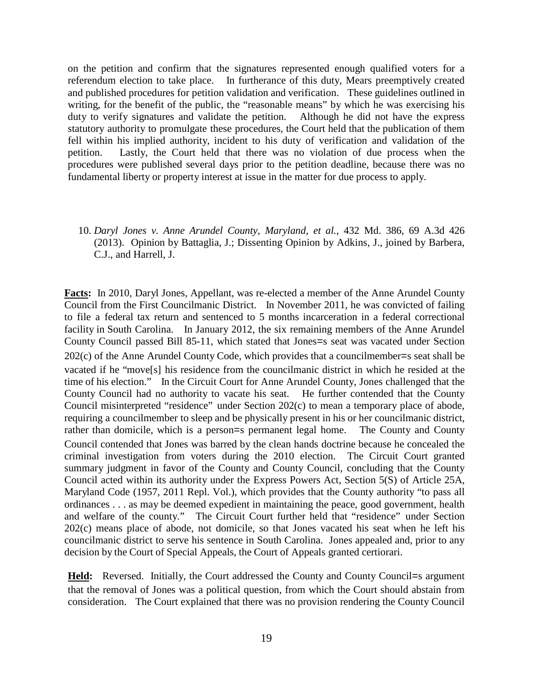on the petition and confirm that the signatures represented enough qualified voters for a referendum election to take place. In furtherance of this duty, Mears preemptively created and published procedures for petition validation and verification. These guidelines outlined in writing, for the benefit of the public, the "reasonable means" by which he was exercising his duty to verify signatures and validate the petition. Although he did not have the express statutory authority to promulgate these procedures, the Court held that the publication of them fell within his implied authority, incident to his duty of verification and validation of the petition. Lastly, the Court held that there was no violation of due process when the procedures were published several days prior to the petition deadline, because there was no fundamental liberty or property interest at issue in the matter for due process to apply.

10. *Daryl Jones v. Anne Arundel County, Maryland, et al.*, 432 Md. 386, 69 A.3d 426 (2013). Opinion by Battaglia, J.; Dissenting Opinion by Adkins, J., joined by Barbera, C.J., and Harrell, J.

**Facts:** In 2010, Daryl Jones, Appellant, was re-elected a member of the Anne Arundel County Council from the First Councilmanic District. In November 2011, he was convicted of failing to file a federal tax return and sentenced to 5 months incarceration in a federal correctional facility in South Carolina. In January 2012, the six remaining members of the Anne Arundel County Council passed Bill 85-11, which stated that Jones=s seat was vacated under Section 202(c) of the Anne Arundel County Code, which provides that a councilmember=s seat shall be vacated if he "move[s] his residence from the councilmanic district in which he resided at the time of his election." In the Circuit Court for Anne Arundel County, Jones challenged that the County Council had no authority to vacate his seat. He further contended that the County Council misinterpreted "residence" under Section 202(c) to mean a temporary place of abode, requiring a councilmember to sleep and be physically present in his or her councilmanic district, rather than domicile, which is a person=s permanent legal home. The County and County Council contended that Jones was barred by the clean hands doctrine because he concealed the criminal investigation from voters during the 2010 election. The Circuit Court granted summary judgment in favor of the County and County Council, concluding that the County Council acted within its authority under the Express Powers Act, Section 5(S) of Article 25A, Maryland Code (1957, 2011 Repl. Vol.), which provides that the County authority "to pass all ordinances . . . as may be deemed expedient in maintaining the peace, good government, health and welfare of the county." The Circuit Court further held that "residence" under Section 202(c) means place of abode, not domicile, so that Jones vacated his seat when he left his councilmanic district to serve his sentence in South Carolina. Jones appealed and, prior to any decision by the Court of Special Appeals, the Court of Appeals granted certiorari.

Held: Reversed. Initially, the Court addressed the County and County Council=s argument that the removal of Jones was a political question, from which the Court should abstain from consideration. The Court explained that there was no provision rendering the County Council